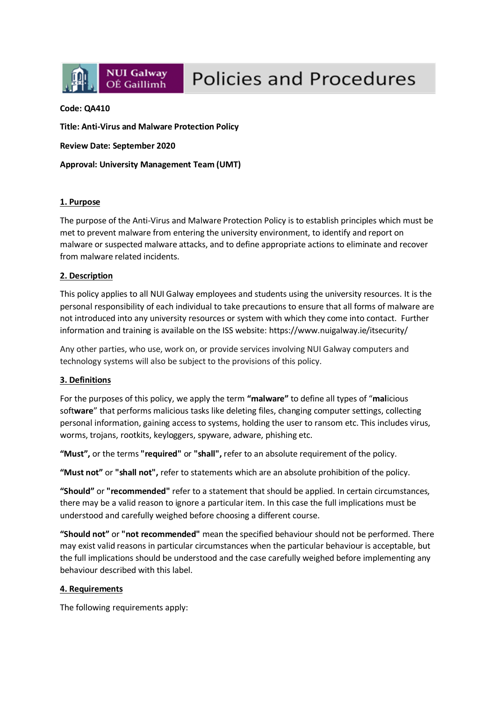

# **Policies and Procedures**

#### **Code: QA410**

**Title: Anti-Virus and Malware Protection Policy**

**Review Date: September 2020**

**Approval: University Management Team (UMT)**

## **1. Purpose**

The purpose of the Anti-Virus and Malware Protection Policy is to establish principles which must be met to prevent malware from entering the university environment, to identify and report on malware or suspected malware attacks, and to define appropriate actions to eliminate and recover from malware related incidents.

## **2. Description**

This policy applies to all NUI Galway employees and students using the university resources. It is the personal responsibility of each individual to take precautions to ensure that all forms of malware are not introduced into any university resources or system with which they come into contact. Further information and training is available on the ISS website: https://www.nuigalway.ie/itsecurity/

Any other parties, who use, work on, or provide services involving NUI Galway computers and technology systems will also be subject to the provisions of this policy.

#### **3. Definitions**

For the purposes of this policy, we apply the term **"malware"** to define all types of "**mal**icious soft**ware**" that performs malicious tasks like deleting files, changing computer settings, collecting personal information, gaining access to systems, holding the user to ransom etc. This includes virus, worms, trojans, rootkits, keyloggers, spyware, adware, phishing etc.

**"Must",** or the terms **"required"** or **"shall",** refer to an absolute requirement of the policy.

**"Must not"** or **"shall not",** refer to statements which are an absolute prohibition of the policy.

**"Should"** or **"recommended"** refer to a statement that should be applied. In certain circumstances, there may be a valid reason to ignore a particular item. In this case the full implications must be understood and carefully weighed before choosing a different course.

**"Should not"** or **"not recommended"** mean the specified behaviour should not be performed. There may exist valid reasons in particular circumstances when the particular behaviour is acceptable, but the full implications should be understood and the case carefully weighed before implementing any behaviour described with this label.

#### **4. Requirements**

The following requirements apply: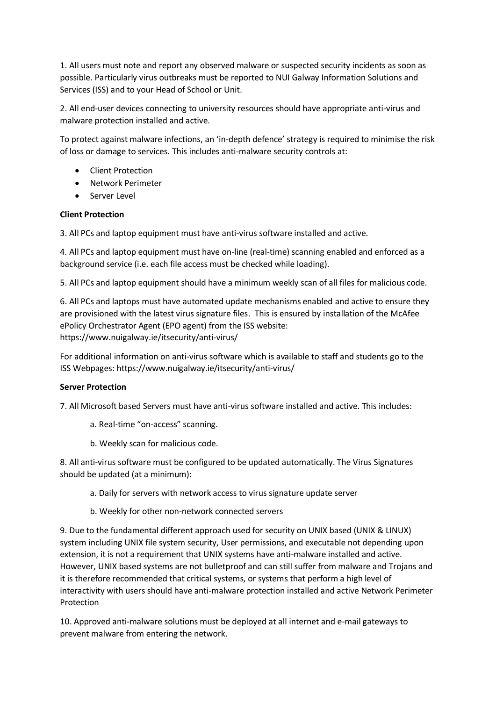1. All users must note and report any observed malware or suspected security incidents as soon as possible. Particularly virus outbreaks must be reported to NUI Galway Information Solutions and Services (ISS) and to your Head of School or Unit.

2. All end-user devices connecting to university resources should have appropriate anti-virus and malware protection installed and active.

To protect against malware infections, an 'in-depth defence' strategy is required to minimise the risk of loss or damage to services. This includes anti-malware security controls at:

- Client Protection
- Network Perimeter
- **•** Server Level

# **Client Protection**

3. All PCs and laptop equipment must have anti-virus software installed and active.

4. All PCs and laptop equipment must have on-line (real-time) scanning enabled and enforced as a background service (i.e. each file access must be checked while loading).

5. All PCs and laptop equipment should have a minimum weekly scan of all files for malicious code.

6. All PCs and laptops must have automated update mechanisms enabled and active to ensure they are provisioned with the latest virus signature files. This is ensured by installation of the McAfee ePolicy Orchestrator Agent (EPO agent) from the ISS website: https://www.nuigalway.ie/itsecurity/anti-virus/

For additional information on anti-virus software which is available to staff and students go to the ISS Webpages: https://www.nuigalway.ie/itsecurity/anti-virus/

# **Server Protection**

7. All Microsoft based Servers must have anti-virus software installed and active. This includes:

- a. Real-time "on-access" scanning.
- b. Weekly scan for malicious code.

8. All anti-virus software must be configured to be updated automatically. The Virus Signatures should be updated (at a minimum):

- a. Daily for servers with network access to virus signature update server
- b. Weekly for other non-network connected servers

9. Due to the fundamental different approach used for security on UNIX based (UNIX & LINUX) system including UNIX file system security, User permissions, and executable not depending upon extension, it is not a requirement that UNIX systems have anti-malware installed and active. However, UNIX based systems are not bulletproof and can still suffer from malware and Trojans and it is therefore recommended that critical systems, or systems that perform a high level of interactivity with users should have anti-malware protection installed and active Network Perimeter Protection

10. Approved anti-malware solutions must be deployed at all internet and e-mail gateways to prevent malware from entering the network.